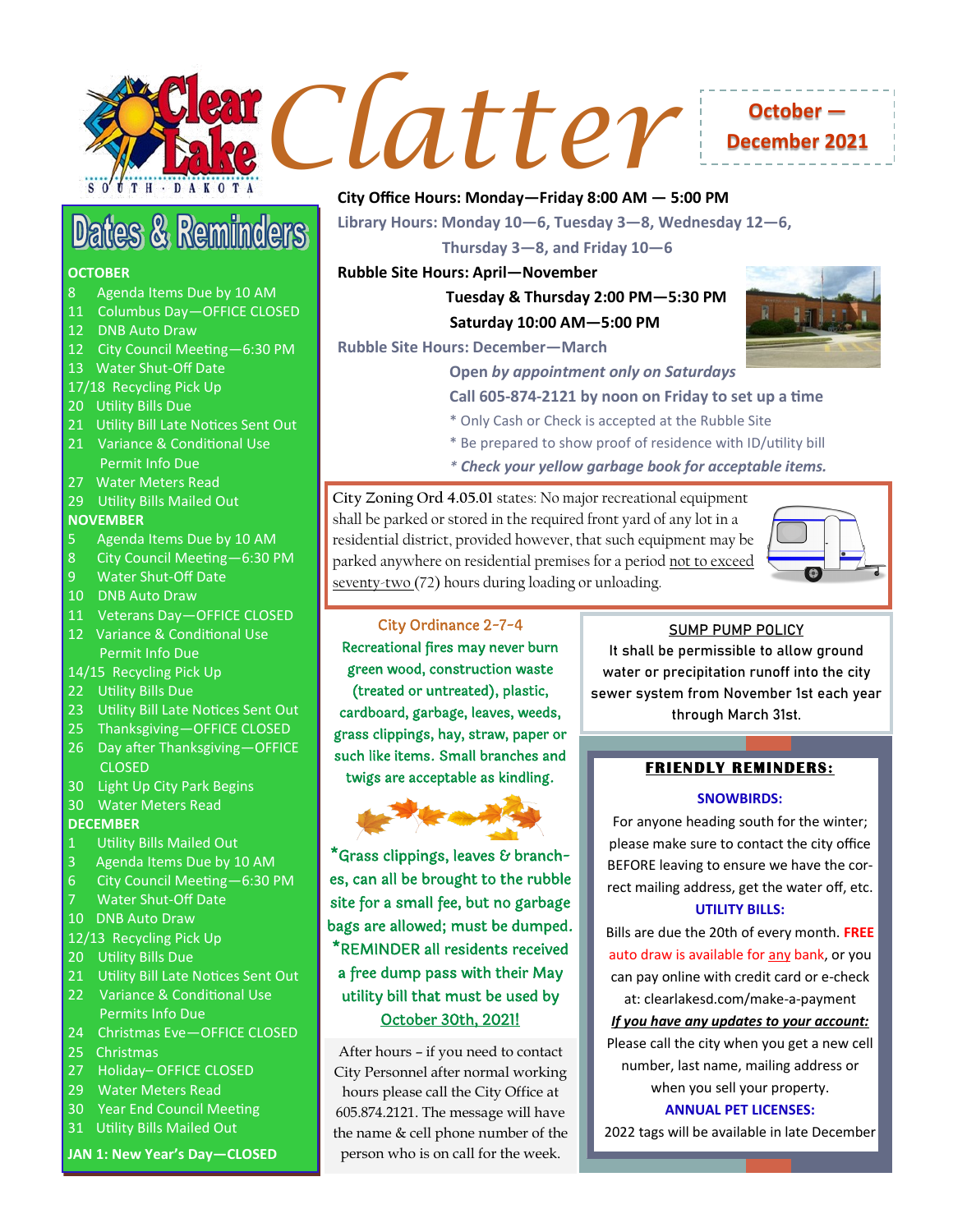

# **December 2021**

## **Dates & Reminders**

#### **OCTOBER**

- 8 Agenda Items Due by 10 AM
- 11 Columbus Day—OFFICE CLOSED
- 12 DNB Auto Draw
- 12 City Council Meeting—6:30 PM
- 13 Water Shut-Off Date
- 17/18 Recycling Pick Up
- 20 Utility Bills Due
- 21 Utility Bill Late Notices Sent Out
- 21 Variance & Conditional Use Permit Info Due
- 27 Water Meters Read
- 29 Utility Bills Mailed Out

#### **NOVEMBER**

- 5 Agenda Items Due by 10 AM
- 8 City Council Meeting—6:30 PM
- 9 Water Shut-Off Date
- 10 DNB Auto Draw
- 11 Veterans Day—OFFICE CLOSED
- 12 Variance & Conditional Use Permit Info Due
- 14/15 Recycling Pick Up
- 22 Utility Bills Due
- 23 Utility Bill Late Notices Sent Out
- 25 Thanksgiving—OFFICE CLOSED
- 26 Day after Thanksgiving—OFFICE CLOSED
- 30 Light Up City Park Begins
- 30 Water Meters Read

#### **DECEMBER**

- 1 Utility Bills Mailed Out
- 3 Agenda Items Due by 10 AM
- 6 City Council Meeting—6:30 PM
- **Water Shut-Off Date**
- 10 DNB Auto Draw
- 12/13 Recycling Pick Up
- 20 Utility Bills Due
- 21 Utility Bill Late Notices Sent Out
- 22 Variance & Conditional Use Permits Info Due
- 24 Christmas Eve—OFFICE CLOSED
- 25 Christmas
- 27 Holiday– OFFICE CLOSED
- 29 Water Meters Read
- 30 Year End Council Meeting
- 31 Utility Bills Mailed Out
- **JAN 1: New Year's Day—CLOSED**

#### **City Office Hours: Monday—Friday 8:00 AM — 5:00 PM**

**Library Hours: Monday 10—6, Tuesday 3—8, Wednesday 12—6,**

 **Thursday 3—8, and Friday 10—6** 

#### **Rubble Site Hours: April—November**

### **Tuesday & Thursday 2:00 PM—5:30 PM Saturday 10:00 AM—5:00 PM**





#### **Open** *by appointment only on Saturdays*

#### **Call 605-874-2121 by noon on Friday to set up a time**

- \* Only Cash or Check is accepted at the Rubble Site
- \* Be prepared to show proof of residence with ID/utility bill
- *\* Check your yellow garbage book for acceptable items.*

**City Zoning Ord 4.05.01** states: No major recreational equipment shall be parked or stored in the required front yard of any lot in a residential district, provided however, that such equipment may be parked anywhere on residential premises for a period not to exceed seventy-two (72) hours during loading or unloading.



#### City Ordinance 2-7-4

Recreational fires may never burn green wood, construction waste (treated or untreated), plastic, cardboard, garbage, leaves, weeds, grass clippings, hay, straw, paper or such like items. Small branches and twigs are acceptable as kindling.



\*Grass clippings, leaves & branches, can all be brought to the rubble site for a small fee, but no garbage bags are allowed; must be dumped. \*REMINDER all residents received a free dump pass with their May utility bill that must be used by October 30th, 2021!

After hours – if you need to contact City Personnel after normal working hours please call the City Office at 605.874.2121. The message will have the name & cell phone number of the person who is on call for the week.

#### **SUMP PUMP POLICY**

It shall be permissible to allow ground water or precipitation runoff into the city sewer system from November 1st each year through March 31st.

#### **FRIENDLY REMINDERS:**

#### **SNOWBIRDS:**

For anyone heading south for the winter; please make sure to contact the city office BEFORE leaving to ensure we have the correct mailing address, get the water off, etc.

#### **UTILITY BILLS:**

Bills are due the 20th of every month. **FREE**  auto draw is available for any bank, or you can pay online with credit card or e-check at: clearlakesd.com/make-a-payment

#### *If you have any updates to your account:*

Please call the city when you get a new cell number, last name, mailing address or when you sell your property.

**ANNUAL PET LICENSES:** 

2022 tags will be available in late December